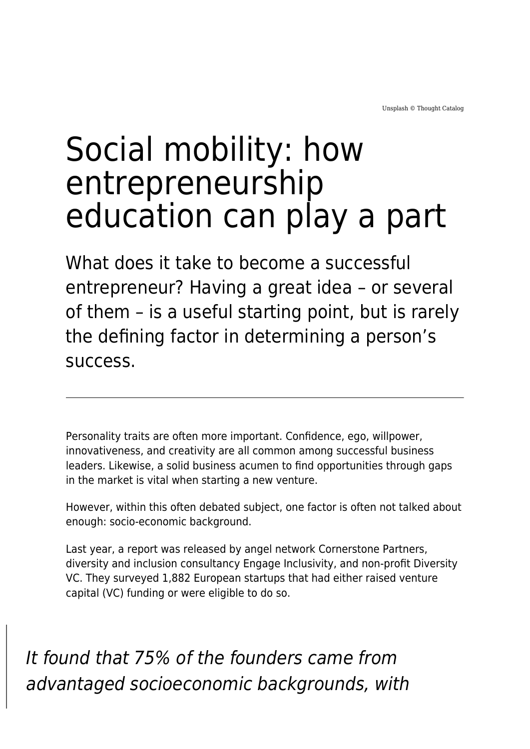## Social mobility: how entrepreneurship education can play a part

What does it take to become a successful entrepreneur? Having a great idea – or several of them – is a useful starting point, but is rarely the defining factor in determining a person's success.

Personality traits are often more important. Confidence, ego, willpower, innovativeness, and creativity are all common among successful business leaders. Likewise, a solid business acumen to find opportunities through gaps in the market is vital when starting a new venture.

However, within this often debated subject, one factor is often not talked about enough: socio-economic background.

Last year, a report was released by angel network Cornerstone Partners, diversity and inclusion consultancy Engage Inclusivity, and non-profit Diversity VC. They surveyed 1,882 European startups that had either raised venture capital (VC) funding or were eligible to do so.

It found that 75% of the founders came from advantaged socioeconomic backgrounds, with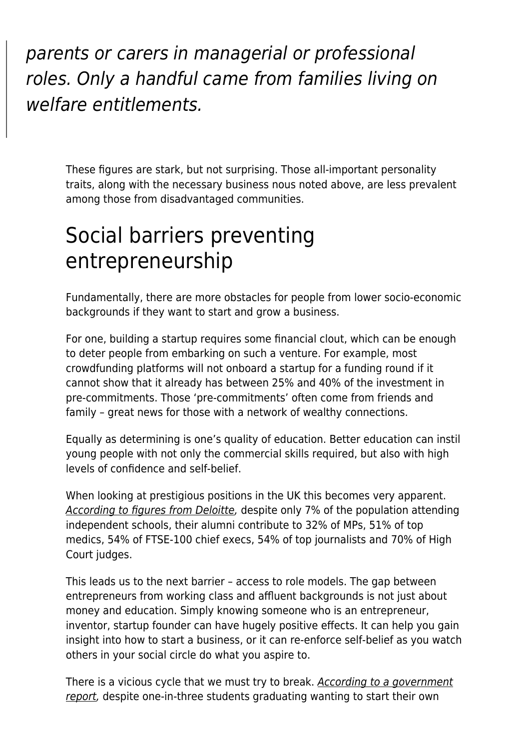parents or carers in managerial or professional roles. Only a handful came from families living on welfare entitlements.

These figures are stark, but not surprising. Those all-important personality traits, along with the necessary business nous noted above, are less prevalent among those from disadvantaged communities.

## Social barriers preventing entrepreneurship

Fundamentally, there are more obstacles for people from lower socio-economic backgrounds if they want to start and grow a business.

For one, building a startup requires some financial clout, which can be enough to deter people from embarking on such a venture. For example, most crowdfunding platforms will not onboard a startup for a funding round if it cannot show that it already has between 25% and 40% of the investment in pre-commitments. Those 'pre-commitments' often come from friends and family – great news for those with a network of wealthy connections.

Equally as determining is one's quality of education. Better education can instil young people with not only the commercial skills required, but also with high levels of confidence and self-belief.

When looking at prestigious positions in the UK this becomes very apparent. [According to figures from Deloitte,](https://www2.deloitte.com/uk/en/pages/about-deloitte-uk/articles/social-mobility.html) despite only 7% of the population attending independent schools, their alumni contribute to 32% of MPs, 51% of top medics, 54% of FTSE-100 chief execs, 54% of top journalists and 70% of High Court judges.

This leads us to the next barrier – access to role models. The gap between entrepreneurs from working class and affluent backgrounds is not just about money and education. Simply knowing someone who is an entrepreneur, inventor, startup founder can have hugely positive effects. It can help you gain insight into how to start a business, or it can re-enforce self-belief as you watch others in your social circle do what you aspire to.

There is a vicious cycle that we must try to break. [According to a government](https://www.local.gov.uk/sites/default/files/documents/good-practice-guide-counc-5d7.pdf) [report](https://www.local.gov.uk/sites/default/files/documents/good-practice-guide-counc-5d7.pdf), despite one-in-three students graduating wanting to start their own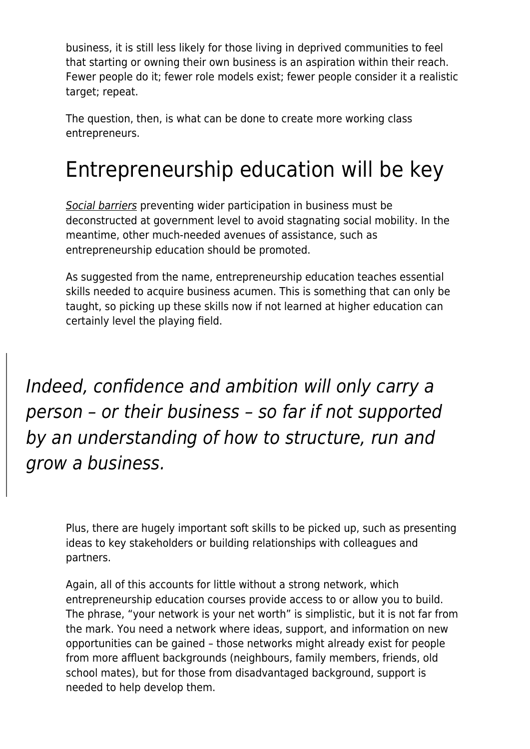business, it is still less likely for those living in deprived communities to feel that starting or owning their own business is an aspiration within their reach. Fewer people do it; fewer role models exist; fewer people consider it a realistic target; repeat.

The question, then, is what can be done to create more working class entrepreneurs.

## Entrepreneurship education will be key

[Social barriers](https://www.maddyness.com/uk/2021/03/30/diversity-creates-value-this-applies-to-the-vc-industry-too-and-we-are-on-a-mission-to-prove-it/) preventing wider participation in business must be deconstructed at government level to avoid stagnating social mobility. In the meantime, other much-needed avenues of assistance, such as entrepreneurship education should be promoted.

As suggested from the name, entrepreneurship education teaches essential skills needed to acquire business acumen. This is something that can only be taught, so picking up these skills now if not learned at higher education can certainly level the playing field.

Indeed, confidence and ambition will only carry a person – or their business – so far if not supported by an understanding of how to structure, run and grow a business.

Plus, there are hugely important soft skills to be picked up, such as presenting ideas to key stakeholders or building relationships with colleagues and partners.

Again, all of this accounts for little without a strong network, which entrepreneurship education courses provide access to or allow you to build. The phrase, "your network is your net worth" is simplistic, but it is not far from the mark. You need a network where ideas, support, and information on new opportunities can be gained – those networks might already exist for people from more affluent backgrounds (neighbours, family members, friends, old school mates), but for those from disadvantaged background, support is needed to help develop them.